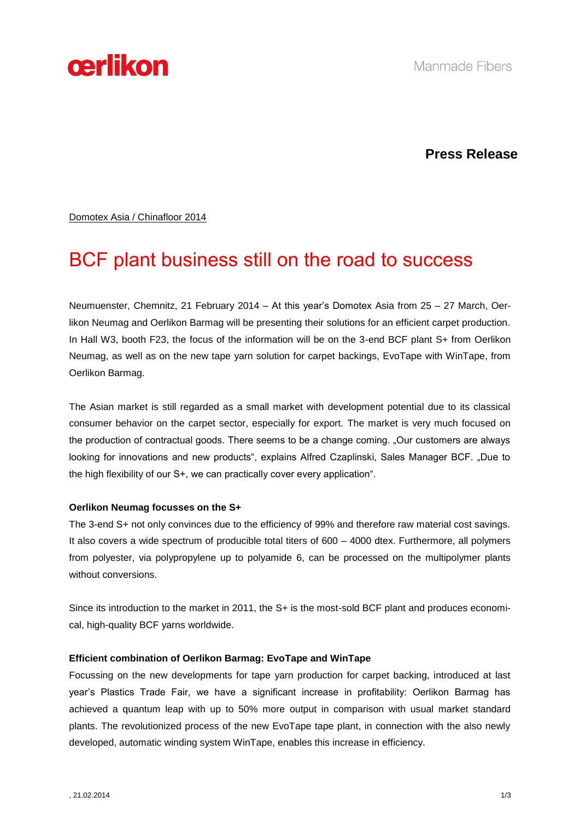

## **Press Release**

Domotex Asia / Chinafloor 2014

# BCF plant business still on the road to success

Neumuenster, Chemnitz, 21 February 2014 – At this year's Domotex Asia from 25 – 27 March, Oerlikon Neumag and Oerlikon Barmag will be presenting their solutions for an efficient carpet production. In Hall W3, booth F23, the focus of the information will be on the 3-end BCF plant S+ from Oerlikon Neumag, as well as on the new tape yarn solution for carpet backings, EvoTape with WinTape, from Oerlikon Barmag.

The Asian market is still regarded as a small market with development potential due to its classical consumer behavior on the carpet sector, especially for export. The market is very much focused on the production of contractual goods. There seems to be a change coming. "Our customers are always looking for innovations and new products", explains Alfred Czaplinski, Sales Manager BCF. "Due to the high flexibility of our S+, we can practically cover every application".

### **Oerlikon Neumag focusses on the S+**

The 3-end S+ not only convinces due to the efficiency of 99% and therefore raw material cost savings. It also covers a wide spectrum of producible total titers of 600 – 4000 dtex. Furthermore, all polymers from polyester, via polypropylene up to polyamide 6, can be processed on the multipolymer plants without conversions.

Since its introduction to the market in 2011, the S+ is the most-sold BCF plant and produces economical, high-quality BCF yarns worldwide.

### **Efficient combination of Oerlikon Barmag: EvoTape and WinTape**

Focussing on the new developments for tape yarn production for carpet backing, introduced at last year's Plastics Trade Fair, we have a significant increase in profitability: Oerlikon Barmag has achieved a quantum leap with up to 50% more output in comparison with usual market standard plants. The revolutionized process of the new EvoTape tape plant, in connection with the also newly developed, automatic winding system WinTape, enables this increase in efficiency.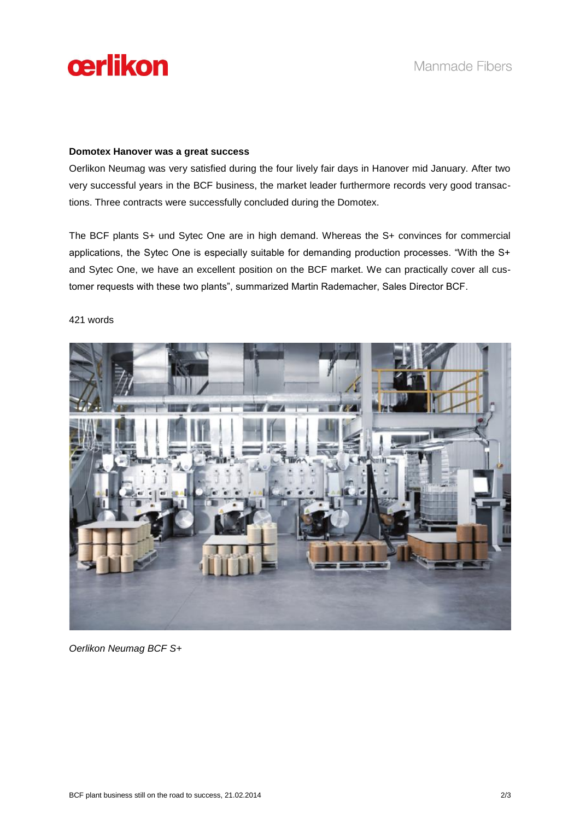

### **Domotex Hanover was a great success**

Oerlikon Neumag was very satisfied during the four lively fair days in Hanover mid January. After two very successful years in the BCF business, the market leader furthermore records very good transactions. Three contracts were successfully concluded during the Domotex.

The BCF plants S+ und Sytec One are in high demand. Whereas the S+ convinces for commercial applications, the Sytec One is especially suitable for demanding production processes. "With the S+ and Sytec One, we have an excellent position on the BCF market. We can practically cover all customer requests with these two plants", summarized Martin Rademacher, Sales Director BCF.

### 421 words

*Oerlikon Neumag BCF S+*